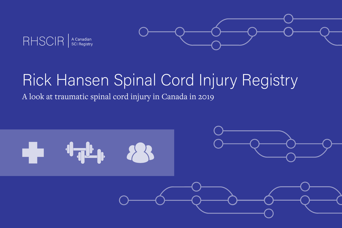

# Rick Hansen Spinal Cord Injury Registry

A look at traumatic spinal cord injury in Canada in 2019

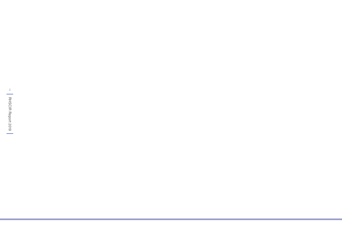N<br>BHSCIR Report 2019  $\sqrt{2}$ PHSCIR Report 2019 RHSCIR Report 2019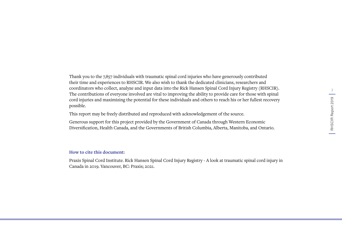Thank you to the 7,857 individuals with traumatic spinal cord injuries who have generously contributed their time and experiences to RHSCIR. We also wish to thank the dedicated clinicians, researchers and coordinators who collect, analyze and input data into the Rick Hansen Spinal Cord Injury Registry (RHSCIR). The contributions of everyone involved are vital to improving the ability to provide care for those with spinal cord injuries and maximizing the potential for these individuals and others to reach his or her fullest recovery possible.

This report may be freely distributed and reproduced with acknowledgement of the source.

Generous support for this project provided by the Government of Canada through Western Economic Diversification, Health Canada, and the Governments of British Columbia, Alberta, Manitoba, and Ontario.

#### **How to cite this document:**

Praxis Spinal Cord Institute. Rick Hansen Spinal Cord Injury Registry - A look at traumatic spinal cord injury in Canada in 2019. Vancouver, BC: Praxis; 2021.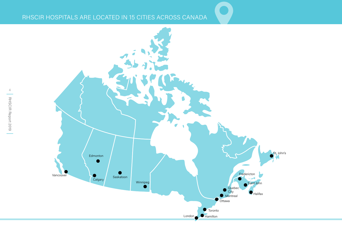#### RHSCIR HOSPITALS ARE LOCATED IN 15 CITIES ACROSS CANADA

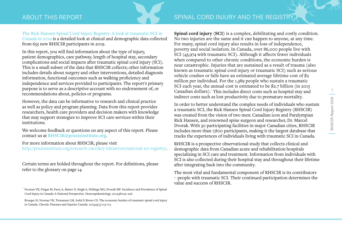### ABOUT THIS REPORT SPINAL CORD INJURY AND THE REGISTRY

The Rick Hansen Spinal Cord Injury Registry: A look at traumatic SCI in Canada in 2019 is a detailed look at clinical and demographic data collected from 655 new RHSCIR participants in 2019.

In this report, you will find information about the type of injury, patient demographics, care pathway, length of hospital stay, secondary complications and social impacts after traumatic spinal cord injury (SCI). This is a small subset of the data that RHSCIR collects; other information includes details about surgery and other interventions, detailed diagnosis information, functional outcomes such as walking proficiency and independence and services provided to participants. The report's primary purpose is to serve as a descriptive account with no endorsement of, or recommendations about, policies or programs.

However, the data can be informative to research and clinical practice as well as policy and program planning. Data from this report provides researchers, health care providers and decision makers with knowledge that may support strategies to improve SCI care services within their institutions.

We welcome feedback or questions on any aspect of this report. Please contact us at **RHSCIR@praxisinstitute.org**.

For more information about RHSCIR, please visit

http://praxisinstitute.org/research-care/key-initiatives/national-sci-registry/.

Certain terms are bolded throughout the report. For definitions, please refer to the glossary on page 14.

**Spinal cord injury (SCI)** is a complex, debilitating and costly condition. No two injuries are the same and it can happen to anyone, at any time. For many, spinal cord injury also results in loss of independence, poverty and social isolation. In Canada, over 86,000 people live with SCI (43,974 with traumatic SCI). Although it affects fewer individuals when compared to other chronic conditions, the economic burden is near catastrophic. Injuries that are sustained as a result of trauma (also known as traumatic spinal cord injury or traumatic SCI) such as serious vehicle crashes or falls have an estimated average lifetime cost of \$2 million per individual. For the 1,389 people who sustain a traumatic SCI each year, the annual cost is estimated to be \$2.7 billion (in 2015 Canadian dollars).**<sup>1</sup>** This includes direct costs such as hospital stay and indirect costs such as lost productivity due to premature mortality.

In order to better understand the complex needs of individuals who sustain a traumatic SCI, the Rick Hansen Spinal Cord Injury Registry (RHSCIR) was created from the vision of two men: Canadian icon and Paralympian Rick Hansen, and renowned spine surgeon and researcher, Dr. Marcel Dvorak. With 30 participating facilities in major Canadian cities, RHSCIR includes more than 7,800 participants, making it the largest database that tracks the experiences of individuals living with traumatic SCI in Canada.

RHSCIR is a prospective observational study that collects clinical and demographic data from Canadian acute and rehabilitation hospitals specializing in SCI care and treatment. Information from individuals with SCI is also collected during their hospital stay and throughout their lifetime after integrating back into the community.

The most vital and fundamental component of RHSCIR is its contributors – people with traumatic SCI. Their continued participation determines the value and success of RHSCIR.

**<sup>1</sup>** Noonan VK, Fingas M, Farry A, Baxter D, Singh A, Fehlings MG, Dvorak MF. Incidence and Prevalence of Spinal Cord Injury in Canada: A National Perspective. Neuroepidemiology. 2012;38:219–226.

Krueger H, Noonan VK, Trenaman LM, Joshi P, Rivers CS. The economic burden of traumatic spinal cord injury in Canada. Chronic Diseases and Injuries Canada. 2013;33(3):113-112.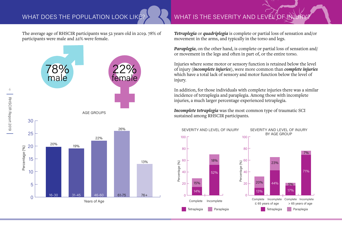### WHAT DOES THE POPULATION LOOK LIKE? WHAT IS THE SEVERITY AND LEVEL OF IN

The average age of RHSCIR participants was 52 years old in 2019. 78% of participants were male and 22% were female.



*Tetraplegia* or *quadriplegia* is complete or partial loss of sensation and/or movement in the arms, and typically in the torso and legs.

Paraplegia, on the other hand, is complete or partial loss of sensation and/ or movement in the legs and often in part of, or the entire torso.

Injuries where some motor or sensory function is retained below the level of injury (*incomplete injuries*), were more common than *complete injuries* which have a total lack of sensory and motor function below the level of injury.

In addition, for those individuals with complete injuries there was a similar incidence of tetraplegia and paraplegia. Among those with incomplete injuries, a much larger percentage experienced tetraplegia.

*Incomplete tetraplegia* was the most common type of traumatic SCI sustained among RHSCIR participants.

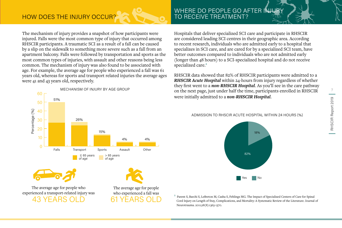## WHERE DO PEOPLE GO AFTER INJURY<br>TO RECEIVE TREATMENT?

The mechanism of injury provides a snapshot of how participants were injured. Falls were the most common type of injury that occurred among RHSCIR participants. A traumatic SCI as a result of a fall can be caused by a slip on the sidewalk to something more severe such as a fall from an apartment balcony. Falls were followed by transportation and sports as the most common types of injuries, with assault and other reasons being less common. The mechanism of injury was also found to be associated with age. For example, the average age for people who experienced a fall was 61 years old, whereas for sports and transport related injuries the average ages were 41 and 43 years old, respectively.





The average age for people who experienced a transport-related injury was 43 YEARS OLD

The average age for people who experienced a fall was FARS.

Hospitals that deliver specialized SCI care and participate in RHSCIR are considered leading SCI centres in their geographic area. According to recent research, individuals who are admitted early to a hospital that specializes in SCI care, and are cared for by a specialized SCI team, have better outcomes compared to individuals who are not admitted early (longer than 48 hours) to a SCI-specialized hospital and do not receive specialized care.<sup>2</sup>

RHSCIR data showed that 82% of RHSCIR participants were admitted to a *RHSCIR Acute Hospital* within 24-hours from injury regardless of whether they first went to a *non-RHSCIR Hospital*. As you'll see in the care pathway on the next page, just under half the time, participants enrolled in RHSCIR were initially admitted to a *non-RHSCIR Hospital*.

#### ADMISSION TO RHSCIR ACUTE HOSPITAL WITHIN 24 HOURS (%)



2 Parent S, Barchi S, LeBreton M, Casha S, Fehlings MG. The Impact of Specialized Centers of Care for Spinal Cord Injury on Length of Stay, Complications, and Mortality: A Systematic Review of the Literature. Journal of Neurotrauma. 2011;28(8):1363-1370.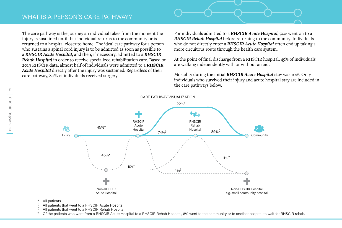The care pathway is the journey an individual takes from the moment the injury is sustained until that individual returns to the community or is returned to a hospital closer to home. The ideal care pathway for a person who sustains a spinal cord injury is to be admitted as soon as possible to a *RHSCIR Acute Hospital*, and then, if necessary, admitted to a *RHSCIR Rehab Hospital* in order to receive specialized rehabilitation care. Based on 2019 RHSCIR data, almost half of individuals were admitted to a *RHSCIR Acute Hospital* directly after the injury was sustained. Regardless of their care pathway, 80% of individuals received surgery.

For individuals admitted to a *RHSCIR Acute Hospital*, 74% went on to a *RHSCIR Rehab Hospital* before returning to the community. Individuals who do not directly enter a *RHSCIR Acute Hospital* often end up taking a more circuitous route through the health care system.

At the point of final discharge from a RHSCIR hospital, 45% of individuals are walking independently with or without an aid.

Mortality during the initial *RHSCIR Acute Hospital* stay was 10%. Only individuals who survived their injury and acute hospital stay are included in the care pathways below.



 $^{\circ}\,$  All patients<br> $^{\circ}\,$  All patients that went to a RHSCIR Acute Hospital<br> $^{\circ}\,$  All patients that went to a RHSCIR Rehab Hospital

 $\dagger$  Of the patients who went from a RHSCIR Acute Hospital to a RHSCIR Rehab Hospital, 8% went to the community or to another hospital to wait for RHSCIR rehab.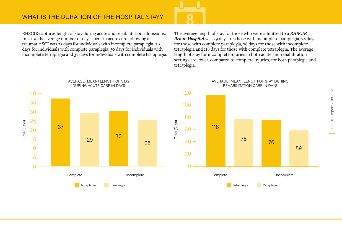RHSCIR captures length of stay during acute and rehabilitation admissions. In 2019, the average number of days spent in acute care following a traumatic SCI was 25 days for individuals with incomplete paraplegia, 29 days for individuals with complete paraplegia, 30 days for individuals with incomplete tetraplegia and 37 days for individuals with complete tetraplegia.

The average length of stay for those who were admitted to a *RHSCIR Rehab Hospital* was 59 days for those with incomplete paraplegia, 78 days for those with complete paraplegia, 76 days for those with incomplete tetraplegia and 118 days for those with complete tetraplegia. The average length of stay for incomplete injuries in both acute and rehabilitation settings are lower, compared to complete injuries, for both paraplegia and tetraplegia.



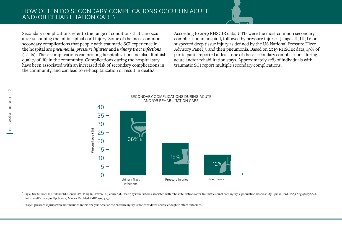#### HOW OFTEN DO SECONDARY COMPLICATIONS OCCUR IN ACUTE AND/OR REHABILITATION CARE?

Secondary complications refer to the range of conditions that can occur after sustaining the initial spinal cord injury. Some of the most common secondary complications that people with traumatic SCI experience in the hospital are *pneumonia*, *pressure injuries* and *urinary tract infections* (UTIs). These complications can prolong hospitalization and also diminish quality of life in the community. Complications during the hospital stay have been associated with an increased risk of secondary complications in the community, and can lead to re-hospitalization or result in death.3

According to 2019 RHSCIR data, UTIs were the most common secondary complication in hospital, followed by pressure injuries (stages II, III, IV or suspected deep tissue injury as defined by the US National Pressure Ulcer Advisory Panel)<sup>4</sup>, and then pneumonia. Based on 2019 RHSCIR data, 49% of participants reported at least one of these secondary complications during acute and/or rehabilitation stays. Approximately 22% of individuals with traumatic SCI report multiple secondary complications.



SECONDARY COMPLICATIONS DURING ACUTE

- <sup>3</sup> Jaglal SB, Munce SE, Guilcher SJ, Couris CM, Fung K, Craven BC, Verrier M. Health system factors associated with rehospitalizations after traumatic spinal cord injury: a population-based study. Spinal Cord. 2009 Aug.47 doi:10.1038/sc.2009.9. Epub 2009 Mar 10. PubMed PMID:19274059.
- 4 Stage 1 pressure injuries were not included in this analysis because the pressure injury is not considered severe enough to affect outcomes.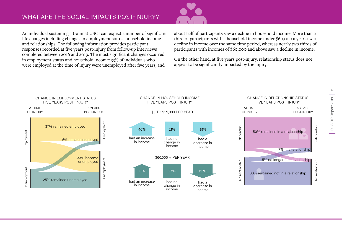An individual sustaining a traumatic SCI can expect a number of significant life changes including changes in employment status, household income and relationships. The following information provides participant responses recorded at five years post-injury from follow-up interviews completed between 2016 and 2019. The most significant changes occurred in employment status and household income: 33% of individuals who were employed at the time of injury were unemployed after five years, and

about half of participants saw a decline in household income. More than a third of participants with a household income under \$60,000 a year saw a decline in income over the same time period, whereas nearly two thirds of participants with incomes of \$60,000 and above saw a decline in income.

On the other hand, at five years post-injury, relationship status does not appear to be significantly impacted by the injury.



11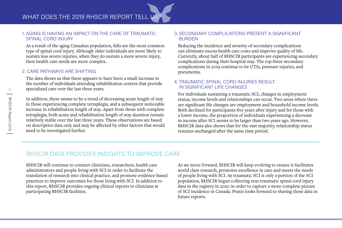#### 1. AGING IS HAVING AN IMPACT ON THE CARE OF TRAUMATIC SPINAL CORD INJURY

As a result of the aging Canadian population, falls are the most common type of spinal cord injury. Although older individuals are more likely to sustain less severe injuries, when they do sustain a more severe injury, their health care needs are more complex.

#### 2. CARE PATHWAYS ARE SHIFTING

The data shows us that there appears to have been a small increase in the number of individuals attending rehabilitation centres that provide specialized care over the last three years.

In addition, there seems to be a trend of decreasing acute length of stay in those experiencing complete tetraplegia, and a subsequent noticeable increase in rehabilitation length of stay. Apart from those with complete tetraplegia, both acute and rehabilitation length of stay duration remain relatively stable over the last three years. These observations are based on descriptive data only and may be affected by other factors that would need to be investigated further.

#### 3. SECONDARY COMPLICATIONS PRESENT A SIGNIFICANT **BURDEN**

Reducing the incidence and severity of secondary complications can eliminate excess health care costs and improve quality of life. Currently, about half of RHSCIR participants are experiencing secondary complications during their hospital stay. The top three secondary complications in 2019 continue to be UTIs, pressure injuries, and pneumonia.

#### 4. TRAUMATIC SPINAL CORD INJURIES RESULT IN SIGNIFICANT LIFE CHANGES

For individuals sustaining a traumatic SCI, changes in employment status, income levels and relationships can occur. Two areas where there are significant life changes are employment and household income levels. Both declined for participants five years after injury and for those with a lower income, the proportion of individuals experiencing a decrease in income after SCI seems to be larger than two years ago. However, RHSCIR data also shows that for the vast majority, relationship status remains unchanged after the same time period.

#### RHSCIR DATA PROVIDES INSIGHTS TO IMPROVE CARE

RHSCIR will continue to connect clinicians, researchers, health care administrators and people living with SCI in order to facilitate the translation of research into clinical practice, and promote evidence-based practices to improve outcomes for those living with SCI. In addition to this report, RHSCIR provides ongoing clinical reports to clinicians at participating RHSCIR facilities.

As we move forward, RHSCIR will keep evolving to ensure it facilitates world class research, promotes excellence in care and meets the needs of people living with SCI. As traumatic SCI is only a portion of the SCI population, RHSCIR begun collecting non-traumatic spinal cord injury data in the registry in 2020 in order to capture a more complete picture of SCI incidence in Canada. Praxis looks forward to sharing these data in future reports.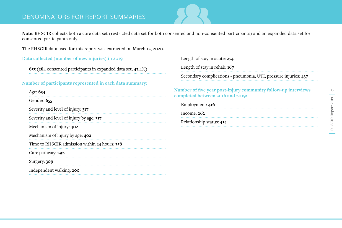**Note:** RHSCIR collects both a core data set (restricted data set for both consented and non-consented participants) and an expanded data set for consented participants only.

The RHSCIR data used for this report was extracted on March 12, 2020.

**Data collected (number of new injuries) in 2019**

**655** (**284** consented participants in expanded data set, **43.4%**)

#### **Number of participants represented in each data summary:**

| Age: 654                                      |
|-----------------------------------------------|
| Gender: 655                                   |
| Severity and level of injury: 317             |
| Severity and level of injury by age: 317      |
| Mechanism of injury: 402                      |
| Mechanism of injury by age: 402               |
| Time to RHSCIR admission within 24 hours: 358 |
| Care pathway: 292                             |
| Surgery: 309                                  |
| Independent walking: 200                      |

| Length of stay in acute: 274                                     |
|------------------------------------------------------------------|
| Length of stay in rehab: 167                                     |
| Secondary complications - pneumonia, UTI, pressure injuries: 437 |

**Number of five year post-injury community follow-up interviews completed between 2016 and 2019:**

| Employment: 416          |  |
|--------------------------|--|
| Income: $262$            |  |
| Relationship status: 414 |  |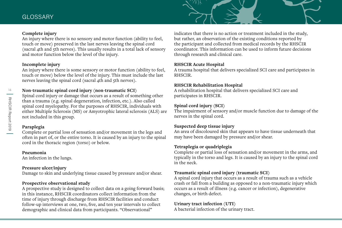#### **Complete injury**

An injury where there is no sensory and motor function (ability to feel, touch or move) preserved in the last nerves leaving the spinal cord  $(sacral 4th and 5th$  nerves). This usually results in a total lack of sensory and motor function below the level of the injury.

#### **Incomplete injury**

An injury where there is some sensory or motor function (ability to feel, touch or move) below the level of the injury. This must include the last nerves leaving the spinal cord (sacral 4th and 5th nerves).

#### **Non-traumatic spinal cord injury (non-traumatic SCI)**

Spinal cord injury or damage that occurs as a result of something other than a trauma (e.g. spinal degeneration, infection, etc.). Also called spinal cord myelopathy. For the purposes of RHSCIR, individuals with either Multiple Sclerosis (MS) or Amyotrophic lateral sclerosis (ALS) are not included in this group.

#### **Paraplegia**

Complete or partial loss of sensation and/or movement in the legs and often in part of, or the entire torso. It is caused by an injury to the spinal cord in the thoracic region (torso) or below.

#### **Pneumonia**

An infection in the lungs.

#### **Pressure ulcer/injury**

Damage to skin and underlying tissue caused by pressure and/or shear.

#### **Prospective observational study**

A prospective study is designed to collect data on a going forward basis; in this instance, RHSCIR coordinators collect information from the time of injury through discharge from RHSCIR facilities and conduct follow-up interviews at one, two, five, and ten year intervals to collect demographic and clinical data from participants. "Observational"

indicates that there is no action or treatment included in the study, but rather, an observation of the existing conditions reported by the participant and collected from medical records by the RHSCIR coordinator. This information can be used to inform future decisions through research and clinical care.

#### **RHSCIR Acute Hospital**

A trauma hospital that delivers specialized SCI care and participates in RHSCIR.

#### **RHSCIR Rehabilitation Hospital**

A rehabilitation hospital that delivers specialized SCI care and participates in RHSCIR.

#### **Spinal cord injury (SCI)**

The impairment of sensory and/or muscle function due to damage of the nerves in the spinal cord.

#### **Suspected deep tissue injury**

An area of discoloured skin that appears to have tissue underneath that may have been damaged by pressure and/or shear.

#### **Tetraplegia or quadriplegia**

Complete or partial loss of sensation and/or movement in the arms, and typically in the torso and legs. It is caused by an injury to the spinal cord in the neck.

#### **Traumatic spinal cord injury (traumatic SCI)**

A spinal cord injury that occurs as a result of trauma such as a vehicle crash or fall from a building as opposed to a non-traumatic injury which occurs as a result of illness (e.g. cancer or infection), degenerative changes, or birth defect.

#### **Urinary tract infection (UTI)**

A bacterial infection of the urinary tract.